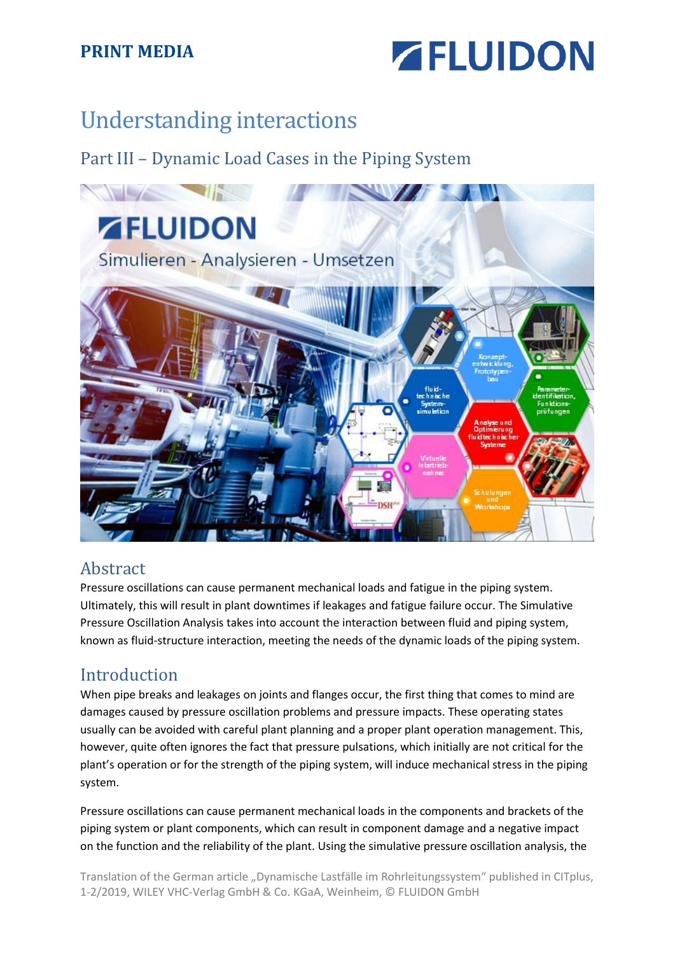

# Understanding interactions

Part III – Dynamic Load Cases in the Piping System



#### Abstract

Pressure oscillations can cause permanent mechanical loads and fatigue in the piping system. Ultimately, this will result in plant downtimes if leakages and fatigue failure occur. The Simulative Pressure Oscillation Analysis takes into account the interaction between fluid and piping system, known as fluid-structure interaction, meeting the needs of the dynamic loads of the piping system.

#### Introduction

When pipe breaks and leakages on joints and flanges occur, the first thing that comes to mind are damages caused by pressure oscillation problems and pressure impacts. These operating states usually can be avoided with careful plant planning and a proper plant operation management. This, however, quite often ignores the fact that pressure pulsations, which initially are not critical for the plant's operation or for the strength of the piping system, will induce mechanical stress in the piping system.

Pressure oscillations can cause permanent mechanical loads in the components and brackets of the piping system or plant components, which can result in component damage and a negative impact on the function and the reliability of the plant. Using the simulative pressure oscillation analysis, the

Translation of the German article "Dynamische Lastfälle im Rohrleitungssystem" published in CITplus, 1-2/2019, WILEY VHC-Verlag GmbH & Co. KGaA, Weinheim, © FLUIDON GmbH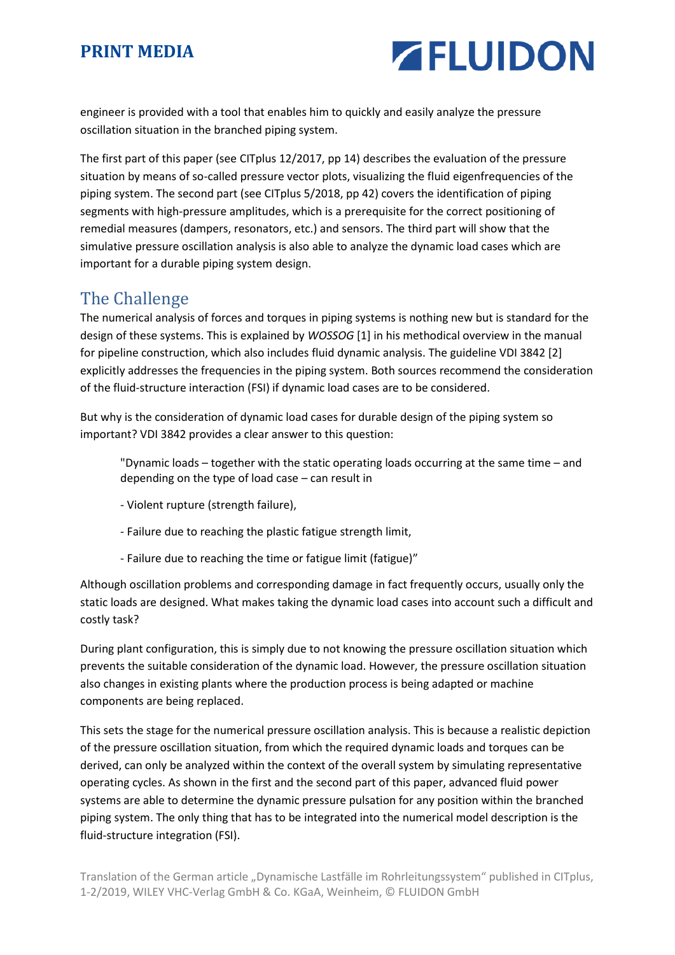

engineer is provided with a tool that enables him to quickly and easily analyze the pressure oscillation situation in the branched piping system.

The first part of this paper (see CITplus 12/2017, pp 14) describes the evaluation of the pressure situation by means of so-called pressure vector plots, visualizing the fluid eigenfrequencies of the piping system. The second part (see CITplus 5/2018, pp 42) covers the identification of piping segments with high-pressure amplitudes, which is a prerequisite for the correct positioning of remedial measures (dampers, resonators, etc.) and sensors. The third part will show that the simulative pressure oscillation analysis is also able to analyze the dynamic load cases which are important for a durable piping system design.

#### The Challenge

The numerical analysis of forces and torques in piping systems is nothing new but is standard for the design of these systems. This is explained by *WOSSOG* [1] in his methodical overview in the manual for pipeline construction, which also includes fluid dynamic analysis. The guideline VDI 3842 [2] explicitly addresses the frequencies in the piping system. Both sources recommend the consideration of the fluid-structure interaction (FSI) if dynamic load cases are to be considered.

But why is the consideration of dynamic load cases for durable design of the piping system so important? VDI 3842 provides a clear answer to this question:

"Dynamic loads – together with the static operating loads occurring at the same time – and depending on the type of load case – can result in

- Violent rupture (strength failure),
- Failure due to reaching the plastic fatigue strength limit,
- Failure due to reaching the time or fatigue limit (fatigue)"

Although oscillation problems and corresponding damage in fact frequently occurs, usually only the static loads are designed. What makes taking the dynamic load cases into account such a difficult and costly task?

During plant configuration, this is simply due to not knowing the pressure oscillation situation which prevents the suitable consideration of the dynamic load. However, the pressure oscillation situation also changes in existing plants where the production process is being adapted or machine components are being replaced.

This sets the stage for the numerical pressure oscillation analysis. This is because a realistic depiction of the pressure oscillation situation, from which the required dynamic loads and torques can be derived, can only be analyzed within the context of the overall system by simulating representative operating cycles. As shown in the first and the second part of this paper, advanced fluid power systems are able to determine the dynamic pressure pulsation for any position within the branched piping system. The only thing that has to be integrated into the numerical model description is the fluid-structure integration (FSI).

Translation of the German article "Dynamische Lastfälle im Rohrleitungssystem" published in CITplus, 1-2/2019, WILEY VHC-Verlag GmbH & Co. KGaA, Weinheim, © FLUIDON GmbH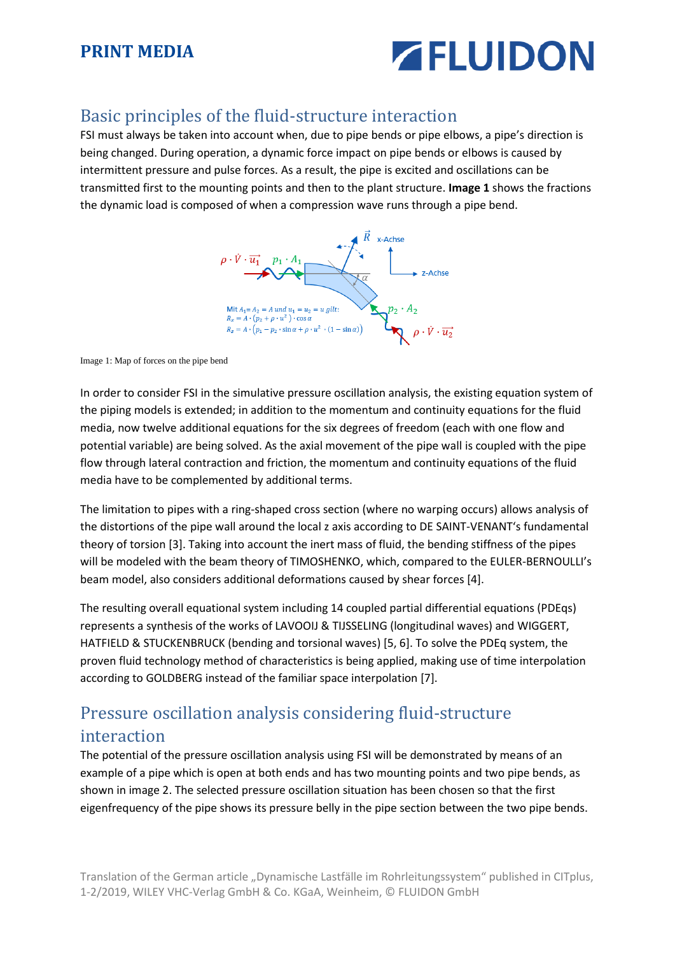

# Basic principles of the fluid-structure interaction

FSI must always be taken into account when, due to pipe bends or pipe elbows, a pipe's direction is being changed. During operation, a dynamic force impact on pipe bends or elbows is caused by intermittent pressure and pulse forces. As a result, the pipe is excited and oscillations can be transmitted first to the mounting points and then to the plant structure. **Image 1** shows the fractions the dynamic load is composed of when a compression wave runs through a pipe bend.



Image 1: Map of forces on the pipe bend

In order to consider FSI in the simulative pressure oscillation analysis, the existing equation system of the piping models is extended; in addition to the momentum and continuity equations for the fluid media, now twelve additional equations for the six degrees of freedom (each with one flow and potential variable) are being solved. As the axial movement of the pipe wall is coupled with the pipe flow through lateral contraction and friction, the momentum and continuity equations of the fluid media have to be complemented by additional terms.

The limitation to pipes with a ring-shaped cross section (where no warping occurs) allows analysis of the distortions of the pipe wall around the local z axis according to DE SAINT-VENANT's fundamental theory of torsion [3]. Taking into account the inert mass of fluid, the bending stiffness of the pipes will be modeled with the beam theory of TIMOSHENKO, which, compared to the EULER-BERNOULLI's beam model, also considers additional deformations caused by shear forces [4].

The resulting overall equational system including 14 coupled partial differential equations (PDEqs) represents a synthesis of the works of LAVOOIJ & TIJSSELING (longitudinal waves) and WIGGERT, HATFIELD & STUCKENBRUCK (bending and torsional waves) [5, 6]. To solve the PDEq system, the proven fluid technology method of characteristics is being applied, making use of time interpolation according to GOLDBERG instead of the familiar space interpolation [7].

# Pressure oscillation analysis considering fluid-structure interaction

The potential of the pressure oscillation analysis using FSI will be demonstrated by means of an example of a pipe which is open at both ends and has two mounting points and two pipe bends, as shown in image 2. The selected pressure oscillation situation has been chosen so that the first eigenfrequency of the pipe shows its pressure belly in the pipe section between the two pipe bends.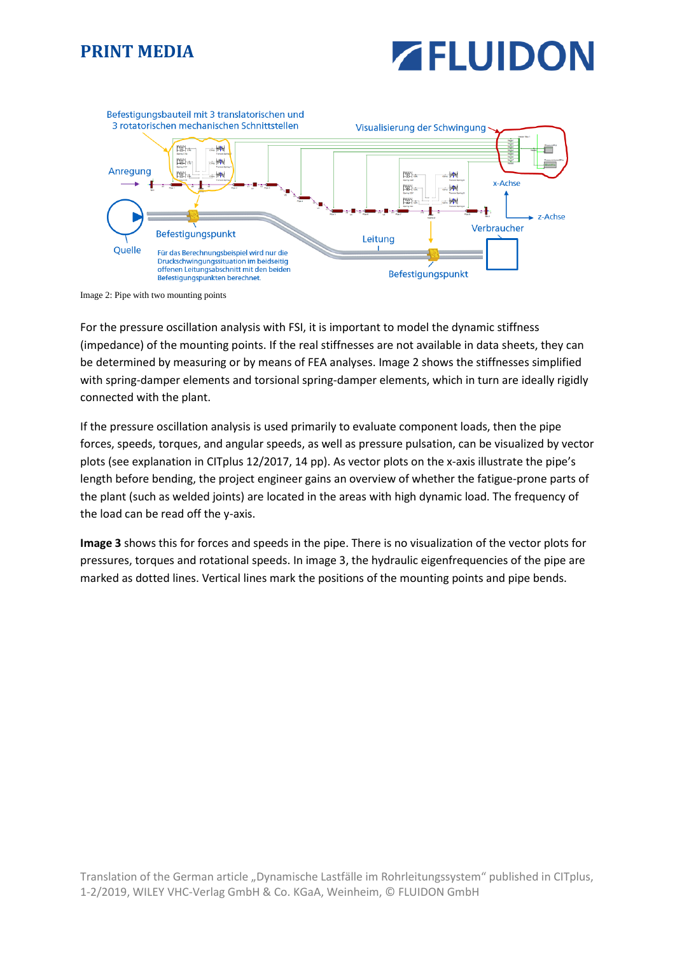



Image 2: Pipe with two mounting points

For the pressure oscillation analysis with FSI, it is important to model the dynamic stiffness (impedance) of the mounting points. If the real stiffnesses are not available in data sheets, they can be determined by measuring or by means of FEA analyses. Image 2 shows the stiffnesses simplified with spring-damper elements and torsional spring-damper elements, which in turn are ideally rigidly connected with the plant.

If the pressure oscillation analysis is used primarily to evaluate component loads, then the pipe forces, speeds, torques, and angular speeds, as well as pressure pulsation, can be visualized by vector plots (see explanation in CITplus 12/2017, 14 pp). As vector plots on the x-axis illustrate the pipe's length before bending, the project engineer gains an overview of whether the fatigue-prone parts of the plant (such as welded joints) are located in the areas with high dynamic load. The frequency of the load can be read off the y-axis.

**Image 3** shows this for forces and speeds in the pipe. There is no visualization of the vector plots for pressures, torques and rotational speeds. In image 3, the hydraulic eigenfrequencies of the pipe are marked as dotted lines. Vertical lines mark the positions of the mounting points and pipe bends.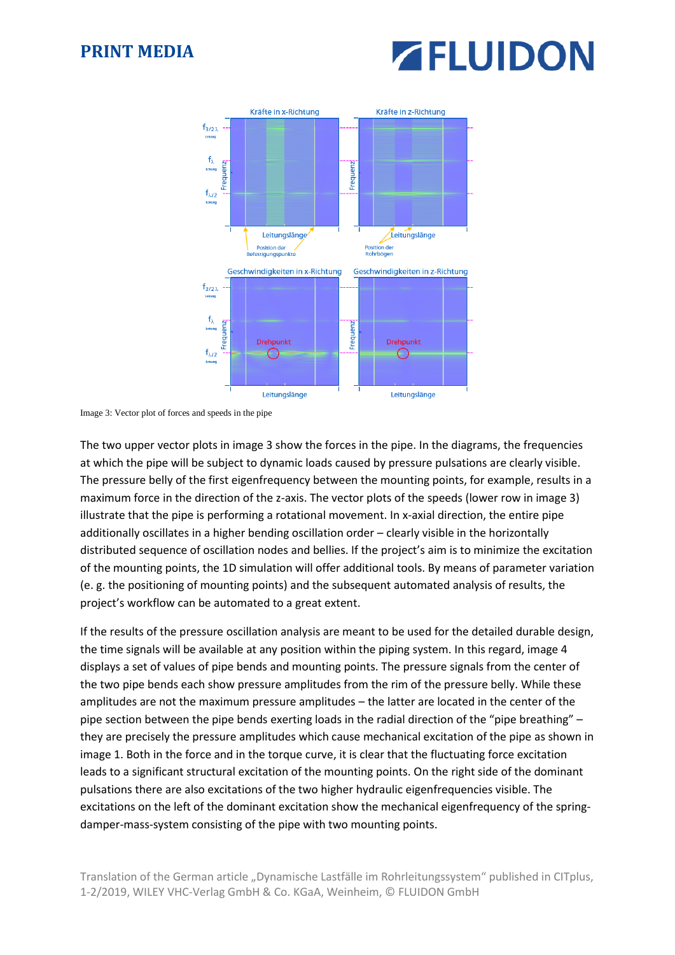# **ZELUIDON**



Image 3: Vector plot of forces and speeds in the pipe

The two upper vector plots in image 3 show the forces in the pipe. In the diagrams, the frequencies at which the pipe will be subject to dynamic loads caused by pressure pulsations are clearly visible. The pressure belly of the first eigenfrequency between the mounting points, for example, results in a maximum force in the direction of the z-axis. The vector plots of the speeds (lower row in image 3) illustrate that the pipe is performing a rotational movement. In x-axial direction, the entire pipe additionally oscillates in a higher bending oscillation order – clearly visible in the horizontally distributed sequence of oscillation nodes and bellies. If the project's aim is to minimize the excitation of the mounting points, the 1D simulation will offer additional tools. By means of parameter variation (e. g. the positioning of mounting points) and the subsequent automated analysis of results, the project's workflow can be automated to a great extent.

If the results of the pressure oscillation analysis are meant to be used for the detailed durable design, the time signals will be available at any position within the piping system. In this regard, image 4 displays a set of values of pipe bends and mounting points. The pressure signals from the center of the two pipe bends each show pressure amplitudes from the rim of the pressure belly. While these amplitudes are not the maximum pressure amplitudes – the latter are located in the center of the pipe section between the pipe bends exerting loads in the radial direction of the "pipe breathing" – they are precisely the pressure amplitudes which cause mechanical excitation of the pipe as shown in image 1. Both in the force and in the torque curve, it is clear that the fluctuating force excitation leads to a significant structural excitation of the mounting points. On the right side of the dominant pulsations there are also excitations of the two higher hydraulic eigenfrequencies visible. The excitations on the left of the dominant excitation show the mechanical eigenfrequency of the springdamper-mass-system consisting of the pipe with two mounting points.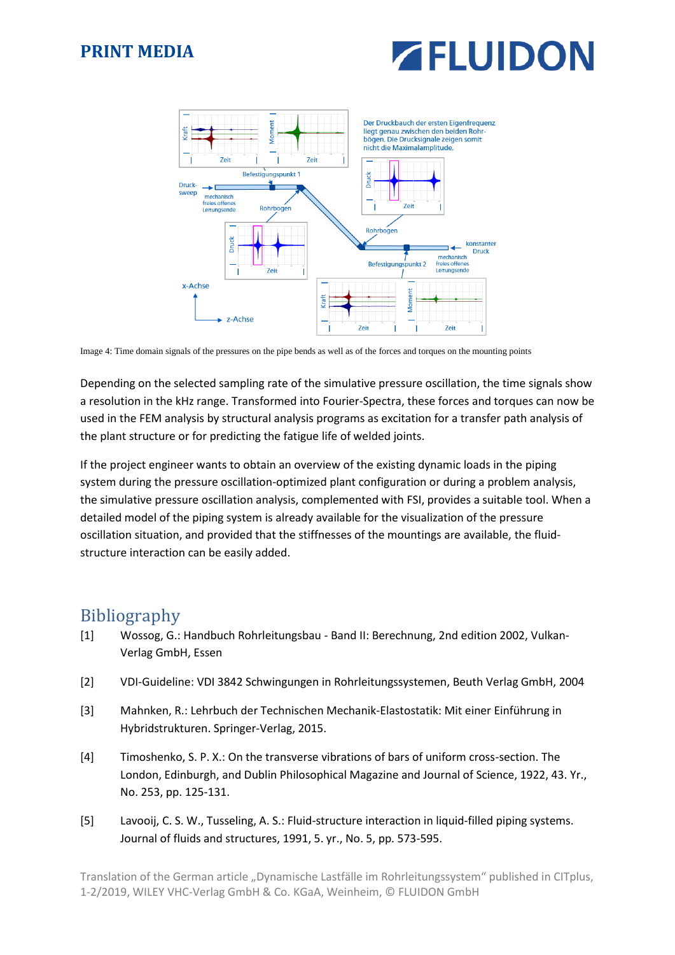



Image 4: Time domain signals of the pressures on the pipe bends as well as of the forces and torques on the mounting points

Depending on the selected sampling rate of the simulative pressure oscillation, the time signals show a resolution in the kHz range. Transformed into Fourier-Spectra, these forces and torques can now be used in the FEM analysis by structural analysis programs as excitation for a transfer path analysis of the plant structure or for predicting the fatigue life of welded joints.

If the project engineer wants to obtain an overview of the existing dynamic loads in the piping system during the pressure oscillation-optimized plant configuration or during a problem analysis, the simulative pressure oscillation analysis, complemented with FSI, provides a suitable tool. When a detailed model of the piping system is already available for the visualization of the pressure oscillation situation, and provided that the stiffnesses of the mountings are available, the fluidstructure interaction can be easily added.

#### Bibliography

- [1] Wossog, G.: Handbuch Rohrleitungsbau Band II: Berechnung, 2nd edition 2002, Vulkan-Verlag GmbH, Essen
- [2] VDI-Guideline: VDI 3842 Schwingungen in Rohrleitungssystemen, Beuth Verlag GmbH, 2004
- [3] Mahnken, R.: Lehrbuch der Technischen Mechanik-Elastostatik: Mit einer Einführung in Hybridstrukturen. Springer-Verlag, 2015.
- [4] Timoshenko, S. P. X.: On the transverse vibrations of bars of uniform cross-section. The London, Edinburgh, and Dublin Philosophical Magazine and Journal of Science, 1922, 43. Yr., No. 253, pp. 125-131.
- [5] Lavooij, C. S. W., Tusseling, A. S.: Fluid-structure interaction in liquid-filled piping systems. Journal of fluids and structures, 1991, 5. yr., No. 5, pp. 573-595.

Translation of the German article "Dynamische Lastfälle im Rohrleitungssystem" published in CITplus, 1-2/2019, WILEY VHC-Verlag GmbH & Co. KGaA, Weinheim, © FLUIDON GmbH